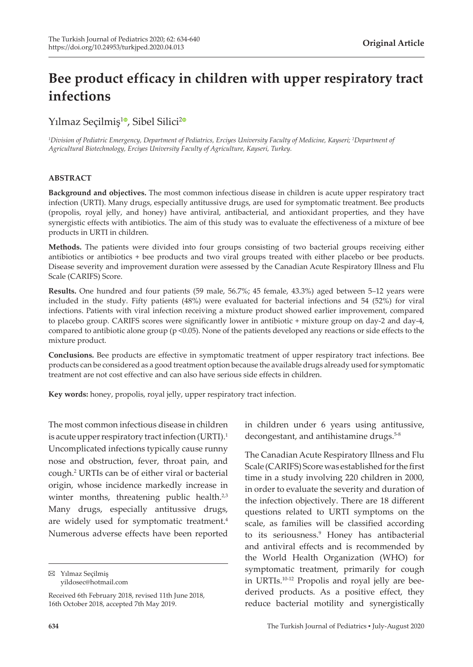# **Bee product efficacy in children with upper respiratory tract infections**

Yılmaz Seçilmiş<sup>[1](https://orcid.org/0000-0002-2195-3551)0</sup>, Sibel Silici<sup>[2](https://orcid.org/0000-0003-2810-2917)0</sup>

 $^1$ Division of Pediatric Emergency, Department of Pediatrics, Erciyes University Faculty of Medicine, Kayseri; <sup>2</sup>Department of *Agricultural Biotechnology, Erciyes University Faculty of Agriculture, Kayseri, Turkey.*

#### **ABSTRACT**

**Background and objectives.** The most common infectious disease in children is acute upper respiratory tract infection (URTI). Many drugs, especially antitussive drugs, are used for symptomatic treatment. Bee products (propolis, royal jelly, and honey) have antiviral, antibacterial, and antioxidant properties, and they have synergistic effects with antibiotics. The aim of this study was to evaluate the effectiveness of a mixture of bee products in URTI in children.

**Methods.** The patients were divided into four groups consisting of two bacterial groups receiving either antibiotics or antibiotics + bee products and two viral groups treated with either placebo or bee products. Disease severity and improvement duration were assessed by the Canadian Acute Respiratory Illness and Flu Scale (CARIFS) Score.

Results. One hundred and four patients (59 male, 56.7%; 45 female, 43.3%) aged between 5-12 years were included in the study. Fifty patients (48%) were evaluated for bacterial infections and 54 (52%) for viral infections. Patients with viral infection receiving a mixture product showed earlier improvement, compared to placebo group. CARIFS scores were significantly lower in antibiotic + mixture group on day-2 and day-4, compared to antibiotic alone group ( $p \le 0.05$ ). None of the patients developed any reactions or side effects to the mixture product.

**Conclusions.** Bee products are effective in symptomatic treatment of upper respiratory tract infections. Bee products can be considered as a good treatment option because the available drugs already used for symptomatic treatment are not cost effective and can also have serious side effects in children.

**Key words:** honey, propolis, royal jelly, upper respiratory tract infection.

The most common infectious disease in children is acute upper respiratory tract infection (URTI).<sup>1</sup> Uncomplicated infections typically cause runny nose and obstruction, fever, throat pain, and cough.2 URTIs can be of either viral or bacterial origin, whose incidence markedly increase in winter months, threatening public health. $2,3$ Many drugs, especially antitussive drugs, are widely used for symptomatic treatment.<sup>4</sup> Numerous adverse effects have been reported

Yılmaz Seçilmiş yildosec@hotmail.com

Received 6th February 2018, revised 11th June 2018, 16th October 2018, accepted 7th May 2019.

in order to evaluate the severity and duration of the infection objectively. There are 18 different

in children under 6 years using antitussive, decongestant, and antihistamine drugs.<sup>5-8</sup>

The Canadian Acute Respiratory Illness and Flu Scale (CARIFS) Score was established for the first time in a study involving 220 children in 2000,

questions related to URTI symptoms on the scale, as families will be classified according to its seriousness.<sup>9</sup> Honey has antibacterial and antiviral effects and is recommended by the World Health Organization (WHO) for symptomatic treatment, primarily for cough in URTIs.10-12 Propolis and royal jelly are beederived products. As a positive effect, they reduce bacterial motility and synergistically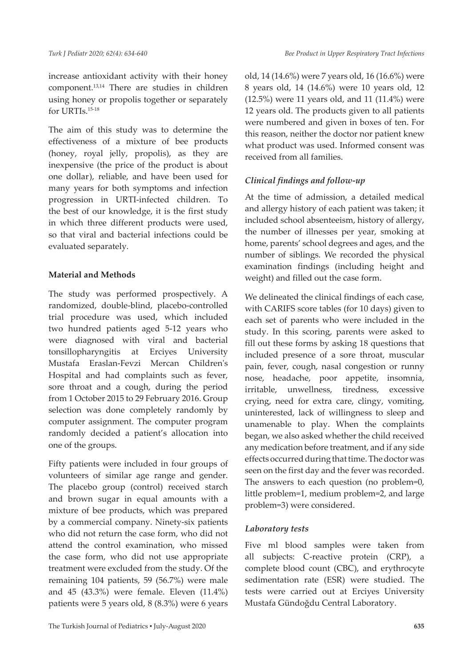increase antioxidant activity with their honey component.13,14 There are studies in children using honey or propolis together or separately for URTIs.15-18

The aim of this study was to determine the effectiveness of a mixture of bee products (honey, royal jelly, propolis), as they are inexpensive (the price of the product is about one dollar), reliable, and have been used for many years for both symptoms and infection progression in URTI-infected children. To the best of our knowledge, it is the first study in which three different products were used, so that viral and bacterial infections could be evaluated separately.

#### **Material and Methods**

The study was performed prospectively. A randomized, double-blind, placebo-controlled trial procedure was used, which included two hundred patients aged 5-12 years who were diagnosed with viral and bacterial tonsillopharyngitis at Erciyes University Mustafa Eraslan-Fevzi Mercan Children's Hospital and had complaints such as fever, sore throat and a cough, during the period from 1 October 2015 to 29 February 2016. Group selection was done completely randomly by computer assignment. The computer program randomly decided a patient's allocation into one of the groups.

Fifty patients were included in four groups of volunteers of similar age range and gender. The placebo group (control) received starch and brown sugar in equal amounts with a mixture of bee products, which was prepared by a commercial company. Ninety-six patients who did not return the case form, who did not attend the control examination, who missed the case form, who did not use appropriate treatment were excluded from the study. Of the remaining 104 patients, 59 (56.7%) were male and 45 (43.3%) were female. Eleven (11.4%) patients were 5 years old, 8 (8.3%) were 6 years

old, 14 (14.6%) were 7 years old, 16 (16.6%) were 8 years old, 14 (14.6%) were 10 years old, 12 (12.5%) were 11 years old, and 11 (11.4%) were 12 years old. The products given to all patients were numbered and given in boxes of ten. For this reason, neither the doctor nor patient knew what product was used. Informed consent was received from all families.

#### *Clinical findings and follow-up*

At the time of admission, a detailed medical and allergy history of each patient was taken; it included school absenteeism, history of allergy, the number of illnesses per year, smoking at home, parents' school degrees and ages, and the number of siblings. We recorded the physical examination findings (including height and weight) and filled out the case form.

We delineated the clinical findings of each case, with CARIFS score tables (for 10 days) given to each set of parents who were included in the study. In this scoring, parents were asked to fill out these forms by asking 18 questions that included presence of a sore throat, muscular pain, fever, cough, nasal congestion or runny nose, headache, poor appetite, insomnia, irritable, unwellness, tiredness, excessive crying, need for extra care, clingy, vomiting, uninterested, lack of willingness to sleep and unamenable to play. When the complaints began, we also asked whether the child received any medication before treatment, and if any side effects occurred during that time. The doctor was seen on the first day and the fever was recorded. The answers to each question (no problem=0, little problem=1, medium problem=2, and large problem=3) were considered.

## *Laboratory tests*

Five ml blood samples were taken from all subjects: C-reactive protein (CRP), a complete blood count (CBC), and erythrocyte sedimentation rate (ESR) were studied. The tests were carried out at Erciyes University Mustafa Gündoğdu Central Laboratory.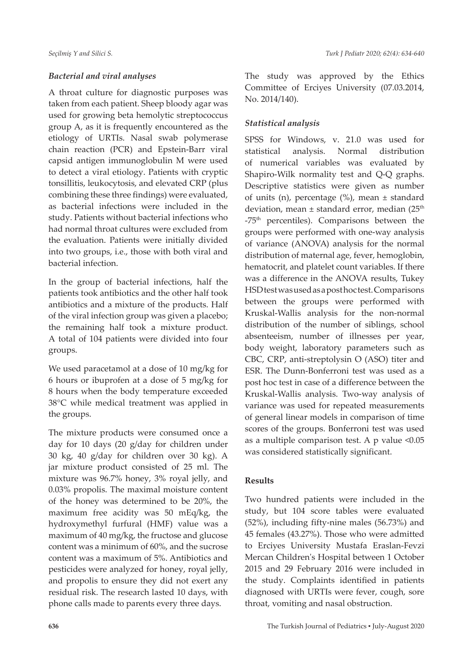## *Bacterial and viral analyses*

A throat culture for diagnostic purposes was taken from each patient. Sheep bloody agar was used for growing beta hemolytic streptococcus group A, as it is frequently encountered as the etiology of URTIs. Nasal swab polymerase chain reaction (PCR) and Epstein-Barr viral capsid antigen immunoglobulin M were used to detect a viral etiology. Patients with cryptic tonsillitis, leukocytosis, and elevated CRP (plus combining these three findings) were evaluated, as bacterial infections were included in the study. Patients without bacterial infections who had normal throat cultures were excluded from the evaluation. Patients were initially divided into two groups, i.e., those with both viral and bacterial infection.

In the group of bacterial infections, half the patients took antibiotics and the other half took antibiotics and a mixture of the products. Half of the viral infection group was given a placebo; the remaining half took a mixture product. A total of 104 patients were divided into four groups.

We used paracetamol at a dose of 10 mg/kg for 6 hours or ibuprofen at a dose of 5 mg/kg for 8 hours when the body temperature exceeded 38°C while medical treatment was applied in the groups.

The mixture products were consumed once a day for 10 days (20 g/day for children under 30 kg, 40 g/day for children over 30 kg). A jar mixture product consisted of 25 ml. The mixture was 96.7% honey, 3% royal jelly, and 0.03% propolis. The maximal moisture content of the honey was determined to be 20%, the maximum free acidity was 50 mEq/kg, the hydroxymethyl furfural (HMF) value was a maximum of 40 mg/kg, the fructose and glucose content was a minimum of 60%, and the sucrose content was a maximum of 5%. Antibiotics and pesticides were analyzed for honey, royal jelly, and propolis to ensure they did not exert any residual risk. The research lasted 10 days, with phone calls made to parents every three days.

The study was approved by the Ethics Committee of Erciyes University (07.03.2014, No. 2014/140).

## *Statistical analysis*

SPSS for Windows, v. 21.0 was used for statistical analysis. Normal distribution of numerical variables was evaluated by Shapiro-Wilk normality test and Q-Q graphs. Descriptive statistics were given as number of units (n), percentage (%), mean ± standard deviation, mean  $\pm$  standard error, median (25<sup>th</sup> -75th percentiles). Comparisons between the groups were performed with one-way analysis of variance (ANOVA) analysis for the normal distribution of maternal age, fever, hemoglobin, hematocrit, and platelet count variables. If there was a difference in the ANOVA results, Tukey HSD test was used as a post hoc test. Comparisons between the groups were performed with Kruskal-Wallis analysis for the non-normal distribution of the number of siblings, school absenteeism, number of illnesses per year, body weight, laboratory parameters such as CBC, CRP, anti-streptolysin O (ASO) titer and ESR. The Dunn-Bonferroni test was used as a post hoc test in case of a difference between the Kruskal-Wallis analysis. Two-way analysis of variance was used for repeated measurements of general linear models in comparison of time scores of the groups. Bonferroni test was used as a multiple comparison test. A p value <0.05 was considered statistically significant.

## **Results**

Two hundred patients were included in the study, but 104 score tables were evaluated (52%), including fifty-nine males (56.73%) and 45 females (43.27%). Those who were admitted to Erciyes University Mustafa Eraslan-Fevzi Mercan Children's Hospital between 1 October 2015 and 29 February 2016 were included in the study. Complaints identified in patients diagnosed with URTIs were fever, cough, sore throat, vomiting and nasal obstruction.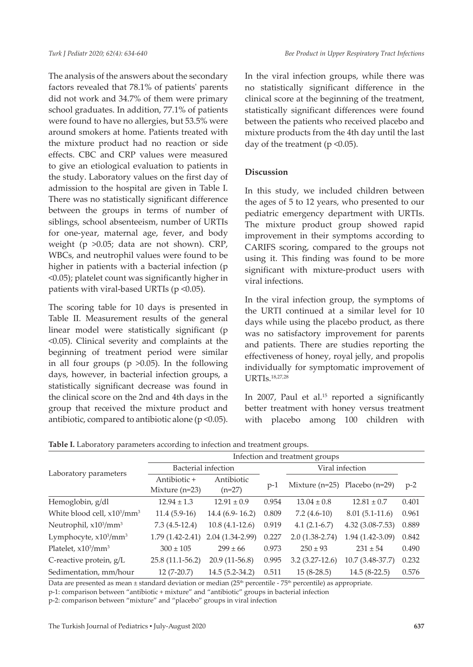The analysis of the answers about the secondary factors revealed that 78.1% of patients' parents did not work and 34.7% of them were primary school graduates. In addition, 77.1% of patients were found to have no allergies, but 53.5% were around smokers at home. Patients treated with the mixture product had no reaction or side effects. CBC and CRP values were measured to give an etiological evaluation to patients in the study. Laboratory values on the first day of admission to the hospital are given in Table I. There was no statistically significant difference between the groups in terms of number of siblings, school absenteeism, number of URTIs for one-year, maternal age, fever, and body weight (p >0.05; data are not shown). CRP, WBCs, and neutrophil values were found to be higher in patients with a bacterial infection (p <0.05); platelet count was significantly higher in patients with viral-based URTIs ( $p \le 0.05$ ).

The scoring table for 10 days is presented in Table II. Measurement results of the general linear model were statistically significant (p <0.05). Clinical severity and complaints at the beginning of treatment period were similar in all four groups ( $p > 0.05$ ). In the following days, however, in bacterial infection groups, a statistically significant decrease was found in the clinical score on the 2nd and 4th days in the group that received the mixture product and antibiotic, compared to antibiotic alone ( $p$  < 0.05). In the viral infection groups, while there was no statistically significant difference in the clinical score at the beginning of the treatment, statistically significant differences were found between the patients who received placebo and mixture products from the 4th day until the last day of the treatment ( $p \le 0.05$ ).

#### **Discussion**

In this study, we included children between the ages of 5 to 12 years, who presented to our pediatric emergency department with URTIs. The mixture product group showed rapid improvement in their symptoms according to CARIFS scoring, compared to the groups not using it. This finding was found to be more significant with mixture-product users with viral infections.

In the viral infection group, the symptoms of the URTI continued at a similar level for 10 days while using the placebo product, as there was no satisfactory improvement for parents and patients. There are studies reporting the effectiveness of honey, royal jelly, and propolis individually for symptomatic improvement of URTIs.18,27,28

In 2007, Paul et al.<sup>15</sup> reported a significantly better treatment with honey versus treatment with placebo among 100 children with

|  |  |  | Table I. Laboratory parameters according to infection and treatment groups. |  |
|--|--|--|-----------------------------------------------------------------------------|--|
|  |  |  |                                                                             |  |

|                                                     | Infection and treatment groups   |                        |                 |                  |                   |       |  |
|-----------------------------------------------------|----------------------------------|------------------------|-----------------|------------------|-------------------|-------|--|
| Laboratory parameters                               | Bacterial infection              |                        | Viral infection |                  |                   |       |  |
|                                                     | Antibiotic +<br>Mixture $(n=23)$ | Antibiotic<br>$(n=27)$ | $p-1$           | Mixture $(n=25)$ | Placebo $(n=29)$  | $p-2$ |  |
| Hemoglobin, g/dl                                    | $12.94 \pm 1.3$                  | $12.91 \pm 0.9$        | 0.954           | $13.04 \pm 0.8$  | $12.81 \pm 0.7$   | 0.401 |  |
| White blood cell, x10 <sup>3</sup> /mm <sup>3</sup> | $11.4(5.9-16)$                   | $14.4(6.9-16.2)$       | 0.809           | $7.2(4.6-10)$    | $8.01(5.1-11.6)$  | 0.961 |  |
| Neutrophil, $x103/mm3$                              | $7.3(4.5-12.4)$                  | $10.8(4.1-12.6)$       | 0.919           | $4.1(2.1-6.7)$   | $4.32(3.08-7.53)$ | 0.889 |  |
| Lymphocyte, $x103/mm3$                              | $1.79(1.42 - 2.41)$              | 2.04 (1.34-2.99)       | 0.227           | $2.0(1.38-2.74)$ | 1.94 (1.42-3.09)  | 0.842 |  |
| Platelet, $x10^3$ /mm <sup>3</sup>                  | $300 \pm 105$                    | $299 \pm 66$           | 0.973           | $250 \pm 93$     | $231 \pm 54$      | 0.490 |  |
| C-reactive protein, g/L                             | 25.8 (11.1-56.2)                 | $20.9(11-56.8)$        | 0.995           | $3.2(3.27-12.6)$ | $10.7(3.48-37.7)$ | 0.232 |  |
| Sedimentation, mm/hour                              | $12(7-20.7)$                     | 14.5 (5.2-34.2)        | 0.511           | $15(8-28.5)$     | $14.5(8-22.5)$    | 0.576 |  |

Data are presented as mean ± standard deviation or median (25<sup>th</sup> percentile - 75<sup>th</sup> percentile) as appropriate.

p-1: comparison between "antibiotic + mixture" and "antibiotic" groups in bacterial infection

p-2: comparison between "mixture" and "placebo" groups in viral infection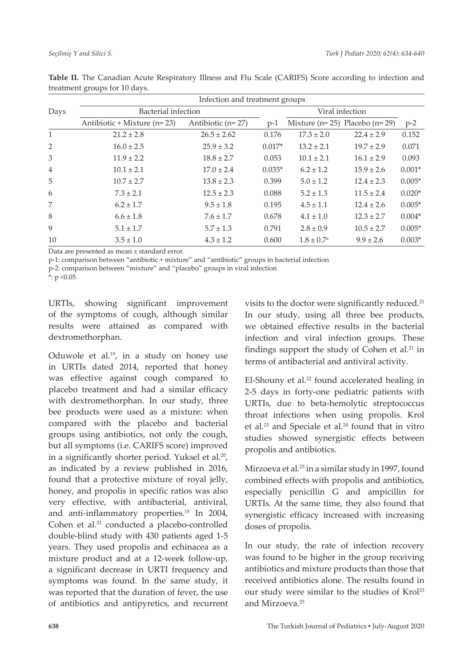|                | Infection and treatment groups |                     |          |                       |                                       |          |  |  |
|----------------|--------------------------------|---------------------|----------|-----------------------|---------------------------------------|----------|--|--|
| Days           | Bacterial infection            |                     |          | Viral infection       |                                       |          |  |  |
|                | Antibiotic + Mixture $(n=23)$  | Antibiotic $(n=27)$ | $p-1$    |                       | Mixture ( $n=25$ ) Placebo ( $n=29$ ) | $p-2$    |  |  |
| $\mathbf{1}$   | $21.2 \pm 2.8$                 | $26.5 \pm 2.62$     | 0.176    | $17.3 \pm 2.0$        | $22.4 \pm 2.9$                        | 0.152    |  |  |
| 2              | $16.0 \pm 2.5$                 | $25.9 \pm 3.2$      | $0.017*$ | $13.2 \pm 2.1$        | $19.7 \pm 2.9$                        | 0.071    |  |  |
| 3              | $11.9 \pm 2.2$                 | $18.8 \pm 2.7$      | 0.053    | $10.1 \pm 2.1$        | $16.1 \pm 2.9$                        | 0.093    |  |  |
| $\overline{4}$ | $10.1 \pm 2.1$                 | $17.0 \pm 2.4$      | $0.035*$ | $6.2 \pm 1.2$         | $15.9 \pm 2.6$                        | $0.001*$ |  |  |
| 5              | $10.7 \pm 2.7$                 | $13.8 \pm 2.3$      | 0.399    | $5.0 \pm 1.2$         | $12.4 \pm 2.3$                        | $0.005*$ |  |  |
| 6              | $7.3 \pm 2.1$                  | $12.5 \pm 2.3$      | 0.088    | $5.2 \pm 1.3$         | $11.5 \pm 2.4$                        | $0.020*$ |  |  |
| 7              | $6.2 \pm 1.7$                  | $9.5 \pm 1.8$       | 0.195    | $4.5 \pm 1.1$         | $12.4 \pm 2.6$                        | $0.005*$ |  |  |
| 8              | $6.6 \pm 1.8$                  | $7.6 \pm 1.7$       | 0.678    | $4.1 \pm 1.0$         | $12.3 \pm 2.7$                        | $0.004*$ |  |  |
| 9              | $5.1 \pm 1.7$                  | $5.7 \pm 1.3$       | 0.791    | $2.8 \pm 0.9$         | $10.5 \pm 2.7$                        | $0.005*$ |  |  |
| 10             | $3.5 \pm 1.0$                  | $4.3 \pm 1.2$       | 0.600    | $1.8 \pm 0.7^{\rm a}$ | $9.9 \pm 2.6$                         | $0.003*$ |  |  |

**Table II.** The Canadian Acute Respiratory Illness and Flu Scale (CARIFS) Score according to infection and treatment groups for 10 days.

Data are presented as mean ± standard error.

p-1: comparison between "antibiotic + mixture" and "antibiotic" groups in bacterial infection

p-2: comparison between "mixture" and "placebo" groups in viral infection

 $*$ : p < 0.05

URTIs, showing significant improvement of the symptoms of cough, although similar results were attained as compared with dextromethorphan.

Oduwole et al.<sup>19</sup>, in a study on honey use in URTIs dated 2014, reported that honey was effective against cough compared to placebo treatment and had a similar efficacy with dextromethorphan. In our study, three bee products were used as a mixture: when compared with the placebo and bacterial groups using antibiotics, not only the cough, but all symptoms (i.e. CARIFS score) improved in a significantly shorter period. Yuksel et al.<sup>20</sup>, as indicated by a review published in 2016, found that a protective mixture of royal jelly, honey, and propolis in specific ratios was also very effective, with antibacterial, antiviral, and anti-inflammatory properties.15 In 2004, Cohen et al.<sup>21</sup> conducted a placebo-controlled double-blind study with 430 patients aged 1-5 years. They used propolis and echinacea as a mixture product and at a 12-week follow-up, a significant decrease in URTI frequency and symptoms was found. In the same study, it was reported that the duration of fever, the use of antibiotics and antipyretics, and recurrent

visits to the doctor were significantly reduced.<sup>21</sup> In our study, using all three bee products, we obtained effective results in the bacterial infection and viral infection groups. These findings support the study of Cohen et al.<sup>21</sup> in terms of antibacterial and antiviral activity.

El-Shouny et al. $22$  found accelerated healing in 2-5 days in forty-one pediatric patients with URTIs, due to beta-hemolytic streptococcus throat infections when using propolis. Krol et al.<sup>23</sup> and Speciale et al.<sup>24</sup> found that in vitro studies showed synergistic effects between propolis and antibiotics.

Mirzoeva et al.25 in a similar study in 1997, found combined effects with propolis and antibiotics, especially penicillin G and ampicillin for URTIs. At the same time, they also found that synergistic efficacy increased with increasing doses of propolis.

In our study, the rate of infection recovery was found to be higher in the group receiving antibiotics and mixture products than those that received antibiotics alone. The results found in our study were similar to the studies of Krol<sup>23</sup> and Mirzoeva.25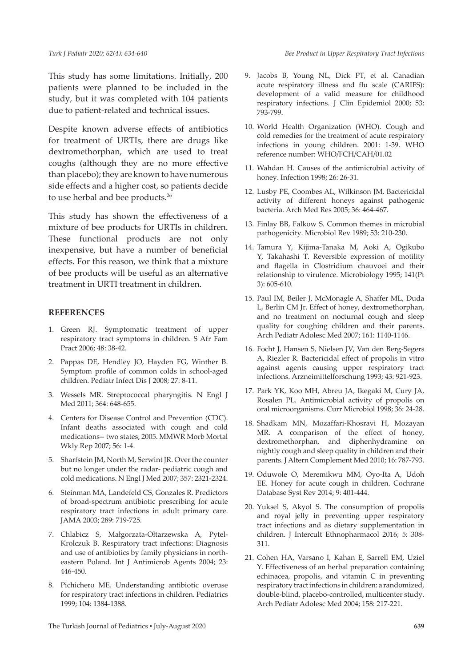This study has some limitations. Initially, 200 patients were planned to be included in the study, but it was completed with 104 patients due to patient-related and technical issues.

Despite known adverse effects of antibiotics for treatment of URTIs, there are drugs like dextromethorphan, which are used to treat coughs (although they are no more effective than placebo); they are known to have numerous side effects and a higher cost, so patients decide to use herbal and bee products.<sup>26</sup>

This study has shown the effectiveness of a mixture of bee products for URTIs in children. These functional products are not only inexpensive, but have a number of beneficial effects. For this reason, we think that a mixture of bee products will be useful as an alternative treatment in URTI treatment in children.

#### **REFERENCES**

- 1. Green RJ. Symptomatic treatment of upper respiratory tract symptoms in children. S Afr Fam Pract 2006; 48: 38-42.
- 2. Pappas DE, Hendley JO, Hayden FG, Winther B. Symptom profile of common colds in school-aged children. Pediatr Infect Dis J 2008; 27: 8-11.
- 3. Wessels MR. Streptococcal pharyngitis. N Engl J Med 2011; 364: 648-655.
- 4. Centers for Disease Control and Prevention (CDC). Infant deaths associated with cough and cold medications-- two states, 2005. MMWR Morb Mortal Wkly Rep 2007; 56: 1-4.
- 5. Sharfstein JM, North M, Serwint JR. Over the counter but no longer under the radar- pediatric cough and cold medications. N Engl J Med 2007; 357: 2321-2324.
- 6. Steinman MA, Landefeld CS, Gonzales R. Predictors of broad-spectrum antibiotic prescribing for acute respiratory tract infections in adult primary care. JAMA 2003; 289: 719-725.
- 7. Chlabicz S, Małgorzata-Ołtarzewska A, Pytel-Krolczuk B. Respiratory tract infections: Diagnosis and use of antibiotics by family physicians in northeastern Poland. Int J Antimicrob Agents 2004; 23: 446-450.
- 8. Pichichero ME. Understanding antibiotic overuse for respiratory tract infections in children. Pediatrics 1999; 104: 1384-1388.
- 9. Jacobs B, Young NL, Dick PT, et al. Canadian acute respiratory illness and flu scale (CARIFS): development of a valid measure for childhood respiratory infections. J Clin Epidemiol 2000; 53: 793-799.
- 10. World Health Organization (WHO). Cough and cold remedies for the treatment of acute respiratory infections in young children. 2001: 1-39. WHO reference number: WHO/FCH/CAH/01.02
- 11. Wahdan H. Causes of the antimicrobial activity of honey. Infection 1998; 26: 26-31.
- 12. Lusby PE, Coombes AL, Wilkinson JM. Bactericidal activity of different honeys against pathogenic bacteria. Arch Med Res 2005; 36: 464-467.
- 13. Finlay BB, Falkow S. Common themes in microbial pathogenicity. Microbiol Rev 1989; 53: 210-230.
- 14. Tamura Y, Kijima-Tanaka M, Aoki A, Ogikubo Y, Takahashi T. Reversible expression of motility and flagella in Clostridium chauvoei and their relationship to virulence. Microbiology 1995; 141(Pt 3): 605-610.
- 15. Paul IM, Beiler J, McMonagle A, Shaffer ML, Duda L, Berlin CM Jr. Effect of honey, dextromethorphan, and no treatment on nocturnal cough and sleep quality for coughing children and their parents. Arch Pediatr Adolesc Med 2007; 161: 1140-1146.
- 16. Focht J, Hansen S, Nielsen JV, Van den Berg-Segers A, Riezler R. Bactericidal effect of propolis in vitro against agents causing upper respiratory tract infections. Arzneimittelforschung 1993; 43: 921-923.
- 17. Park YK, Koo MH, Abreu JA, Ikegaki M, Cury JA, Rosalen PL. Antimicrobial activity of propolis on oral microorganisms. Curr Microbiol 1998; 36: 24-28.
- 18. Shadkam MN, Mozaffari-Khosravi H, Mozayan MR. A comparison of the effect of honey, dextromethorphan, and diphenhydramine on nightly cough and sleep quality in children and their parents. J Altern Complement Med 2010; 16: 787-793.
- 19. Oduwole O, Meremikwu MM, Oyo-Ita A, Udoh EE. Honey for acute cough in children. Cochrane Database Syst Rev 2014; 9: 401-444.
- 20. Yuksel S, Akyol S. The consumption of propolis and royal jelly in preventing upper respiratory tract infections and as dietary supplementation in children. J Intercult Ethnopharmacol 2016; 5: 308- 311.
- 21. Cohen HA, Varsano I, Kahan E, Sarrell EM, Uziel Y. Effectiveness of an herbal preparation containing echinacea, propolis, and vitamin C in preventing respiratory tract infections in children: a randomized, double-blind, placebo-controlled, multicenter study. Arch Pediatr Adolesc Med 2004; 158: 217-221.